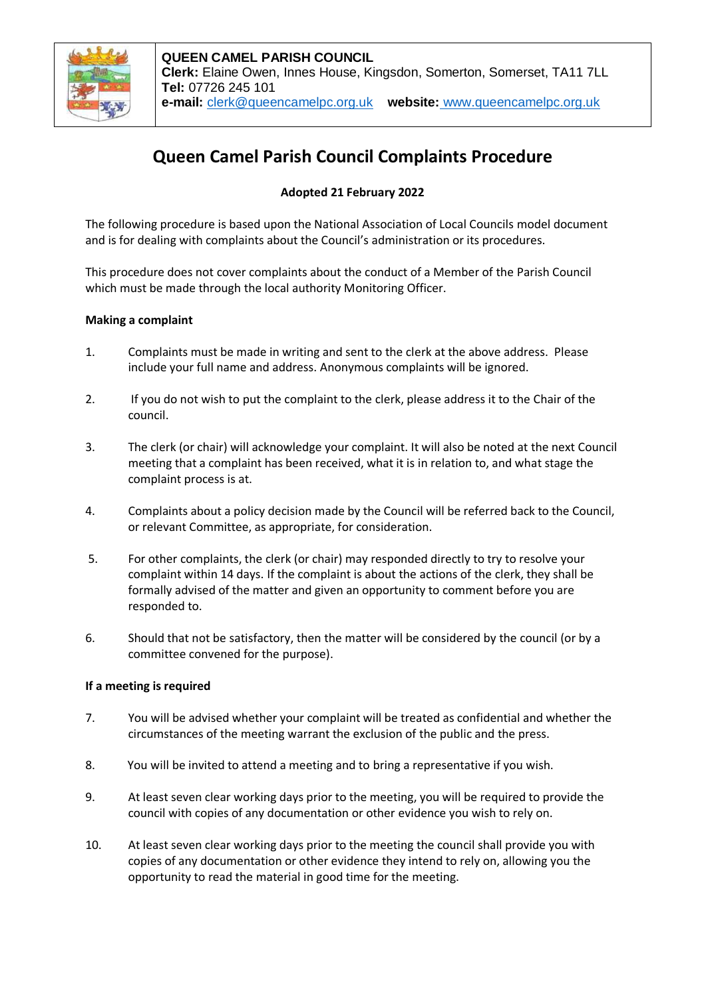

# **Queen Camel Parish Council Complaints Procedure**

## **Adopted 21 February 2022**

The following procedure is based upon the National Association of Local Councils model document and is for dealing with complaints about the Council's administration or its procedures.

This procedure does not cover complaints about the conduct of a Member of the Parish Council which must be made through the local authority Monitoring Officer.

#### **Making a complaint**

- 1. Complaints must be made in writing and sent to the clerk at the above address. Please include your full name and address. Anonymous complaints will be ignored.
- 2. If you do not wish to put the complaint to the clerk, please address it to the Chair of the council.
- 3. The clerk (or chair) will acknowledge your complaint. It will also be noted at the next Council meeting that a complaint has been received, what it is in relation to, and what stage the complaint process is at.
- 4. Complaints about a policy decision made by the Council will be referred back to the Council, or relevant Committee, as appropriate, for consideration.
- 5. For other complaints, the clerk (or chair) may responded directly to try to resolve your complaint within 14 days. If the complaint is about the actions of the clerk, they shall be formally advised of the matter and given an opportunity to comment before you are responded to.
- 6. Should that not be satisfactory, then the matter will be considered by the council (or by a committee convened for the purpose).

#### **If a meeting is required**

- 7. You will be advised whether your complaint will be treated as confidential and whether the circumstances of the meeting warrant the exclusion of the public and the press.
- 8. You will be invited to attend a meeting and to bring a representative if you wish.
- 9. At least seven clear working days prior to the meeting, you will be required to provide the council with copies of any documentation or other evidence you wish to rely on.
- 10. At least seven clear working days prior to the meeting the council shall provide you with copies of any documentation or other evidence they intend to rely on, allowing you the opportunity to read the material in good time for the meeting.